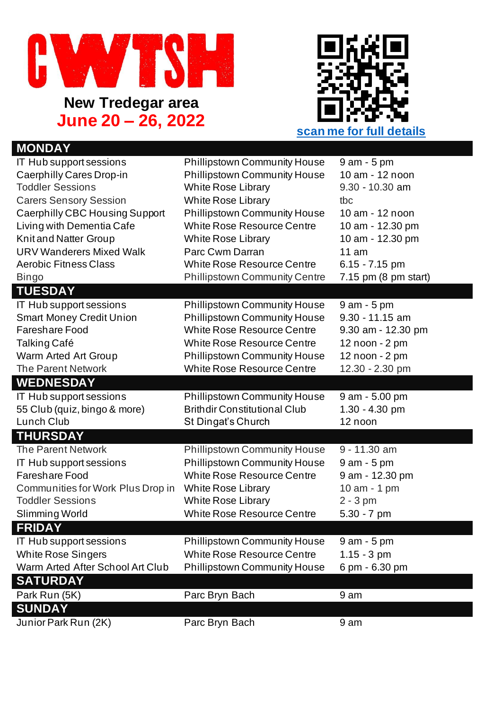



## **MONDAY** IT Hub support sessions Phillipstown Community House 9 am - 5 pm Caerphilly Cares Drop-in Phillipstown Community House 10 am - 12 noon Toddler Sessions White Rose Library 9.30 - 10.30 am Carers Sensory Session White Rose Library tbc Caerphilly CBC Housing Support Phillipstown Community House 10 am - 12 noon Living with Dementia Cafe White Rose Resource Centre 10 am - 12.30 pm Knit and Natter Group White Rose Library 10 am - 12.30 pm URV Wanderers Mixed Walk Parc Cwm Darran 11 am<br>Aerobic Fitness Class Nuhite Rose Resource Centre 6.15 - 7.15 pm Aerobic Fitness Class Michael White Rose Resource Centre Bingo Phillipstown Community Centre 7.15 pm (8 pm start) **TUESDAY** IT Hub support sessions Phillipstown Community House 9 am - 5 pm Smart Money Credit Union Phillipstown Community House 9.30 - 11.15 am Fareshare Food White Rose Resource Centre 9.30 am - 12.30 pm Talking Café White Rose Resource Centre 12 noon - 2 pm Warm Arted Art Group **Phillipstown Community House** 12 noon - 2 pm The Parent Network White Rose Resource Centre 12.30 - 2.30 pm **WEDNESDAY** IT Hub support sessions **Phillipstown Community House** 9 am - 5.00 pm 55 Club (quiz, bingo & more) Brithdir Constitutional Club 1.30 - 4.30 pm Lunch Club **St Dingat's Church** 12 noon **THURSDAY** The Parent Network Phillipstown Community House 9 - 11.30 am IT Hub support sessions Phillipstown Community House 9 am - 5 pm Fareshare Food White Rose Resource Centre 9 am - 12.30 pm Communities for Work Plus Drop in White Rose Library 10 am - 1 pm Toddler Sessions White Rose Library 2 - 3 pm Slimming World White Rose Resource Centre 5.30 - 7 pm **FRIDAY** IT Hub support sessions Phillipstown Community House 9 am - 5 pm White Rose Singers **White Rose Resource Centre** 1.15 - 3 pm Warm Arted After School Art Club Phillipstown Community House 6 pm - 6.30 pm **SATURDAY** Park Run (5K) Parc Bryn Bach 9 am **SUNDAY** Junior Park Run (2K) Parc Bryn Bach 9 am